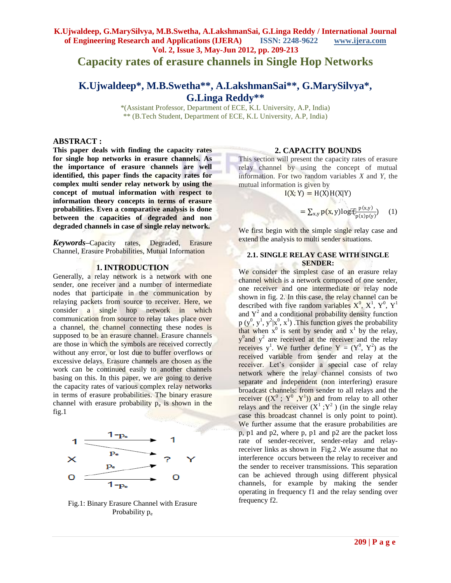# **K.Ujwaldeep, G.MarySilvya, M.B.Swetha, A.LakshmanSai, G.Linga Reddy / International Journal of Engineering Research and Applications (IJERA) ISSN: 2248-9622 www.ijera.com Vol. 2, Issue 3, May-Jun 2012, pp. 209-213 Capacity rates of erasure channels in Single Hop Networks**

# **K.Ujwaldeep\*, M.B.Swetha\*\*, A.LakshmanSai\*\*, G.MarySilvya\*, G.Linga Reddy\*\***

\*(Assistant Professor, Department of ECE, K.L University, A.P, India) \*\* (B.Tech Student, Department of ECE, K.L University, A.P, India)

## **ABSTRACT :**

**This paper deals with finding the capacity rates for single hop networks in erasure channels. As the importance of erasure channels are well identified, this paper finds the capacity rates for complex multi sender relay network by using the concept of mutual information with respect to information theory concepts in terms of erasure probabilities. Even a comparative analysis is done between the capacities of degraded and non degraded channels in case of single relay network.** 

*Keywords***–**Capacity rates, Degraded, Erasure Channel, Erasure Probabilities, Mutual Information

### **1. INTRODUCTION**

Generally, a relay network is a network with one sender, one receiver and a number of intermediate nodes that participate in the communication by relaying packets from source to receiver. Here, we consider a single hop network in which communication from source to relay takes place over a channel, the channel connecting these nodes is supposed to be an erasure channel. Erasure channels are those in which the symbols are received correctly without any error, or lost due to buffer overflows or excessive delays. Erasure channels are chosen as the work can be continued easily to another channels basing on this. In this paper, we are going to derive the capacity rates of various complex relay networks in terms of erasure probabilities. The binary erasure channel with erasure probability  $p_e$  is shown in the fig.1



Fig.1: Binary Erasure Channel with Erasure Probability p<sub>e</sub>

### **2. CAPACITY BOUNDS**

This section will present the capacity rates of erasure relay channel by using the concept of mutual information. For two random variables *X* and *Y,* the mutual information is given by

 $I(X; Y) = H(X)H(X|Y)$ 

$$
= \sum_{x,y} p(x,y) \log[\underbrace{\overline{\mathcal{R}}_p^{\lfloor p(x,y) \rfloor}}_{p(x)p(y)}) \quad (1)
$$

We first begin with the simple single relay case and extend the analysis to multi sender situations.

### **2.1. SINGLE RELAY CASE WITH SINGLE SENDER:**

We consider the simplest case of an erasure relay channel which is a network composed of one sender, one receiver and one intermediate or relay node shown in fig. 2. In this case, the relay channel can be described with five random variables  $X^0$ ,  $X^1$ ,  $Y^0$ ,  $Y^1$ and  $Y^2$  and a conditional probability density function  $p(y^0, y^1, y^2 | x^0, x^1)$ . This function gives the probability that when  $x^0$  is sent by sender and  $x^1$  by the relay,  $y^0$  and  $y^2$  are received at the receiver and the relay receives y<sup>1</sup>. We further define  $Y = (Y^0, Y^2)$  as the received variable from sender and relay at the receiver. Let's consider a special case of relay network where the relay channel consists of two separate and independent (non interfering) erasure broadcast channels: from sender to all relays and the receiver  $((X^0, Y^0, Y^1))$  and from relay to all other relays and the receiver  $(X^1; Y^2)$  (in the single relay case this broadcast channel is only point to point). We further assume that the erasure probabilities are p, p1 and p2, where p, p1 and p2 are the packet loss rate of sender-receiver, sender-relay and relayreceiver links as shown in Fig.2 .We assume that no interference occurs between the relay to receiver and the sender to receiver transmissions. This separation can be achieved through using different physical channels, for example by making the sender operating in frequency f1 and the relay sending over frequency f2.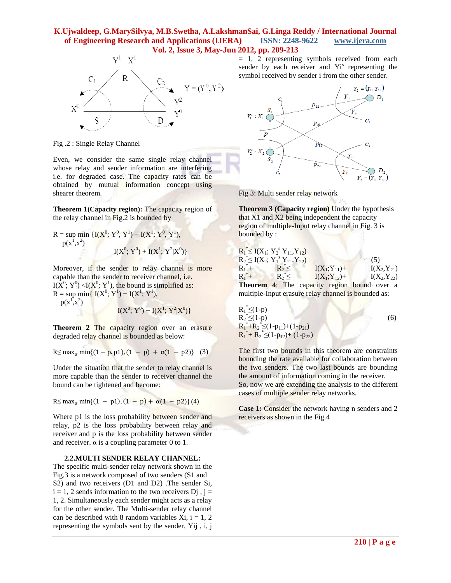

Fig .2 : Single Relay Channel

Even, we consider the same single relay channel whose relay and sender information are interfering i.e. for degraded case. The capacity rates can be obtained by mutual information concept using shearer theorem.

**Theorem 1(Capacity region):** The capacity region of the relay channel in Fig.2 is bounded by

R = sup min {
$$
I(X^0; Y^0, Y^1)
$$
 –  $I(X^1; Y^0, Y^1)$ ,  
\n $p(x^1, x^2)$   
\n $I(X^0; Y^0) + I(X^1; Y^2|X^0)$ }

Moreover, if the sender to relay channel is more capable than the sender to receiver channel, i.e.  $I(X^0; Y^0)$  <  $I(X^0; Y^1)$ , the bound is simplified as:  $R = \sup \min\{I(X^0; Y^1) - I(X^1; Y^1),\}$  $p(x^1, x^2)$ 

 $I(X^0; Y^0) + I(X^1; Y^2|X^0)$ 

**Theorem 2** The capacity region over an erasure degraded relay channel is bounded as below:

$$
R \le \max_{\alpha} \min\{(1 - p, p1), (1 - p) + \alpha(1 - p2)\} \quad (3)
$$

Under the situation that the sender to relay channel is more capable than the sender to receiver channel the bound can be tightened and become:

$$
R \leq max_{\alpha} min\{(1 - p1), (1 - p) + \alpha(1 - p2)\}(4)
$$

Where p1 is the loss probability between sender and relay, p2 is the loss probability between relay and receiver and p is the loss probability between sender and receiver.  $\alpha$  is a coupling parameter 0 to 1.

#### **2.2.MULTI SENDER RELAY CHANNEL:**

The specific multi-sender relay network shown in the Fig.3 is a network composed of two senders (S1 and S2) and two receivers (D1 and D2) .The sender Si,  $i = 1, 2$  sends information to the two receivers D<sub>i</sub>,  $i =$ 1, 2. Simultaneously each sender might acts as a relay for the other sender. The Multi-sender relay channel can be described with 8 random variables  $Xi$ ,  $i = 1, 2$ representing the symbols sent by the sender, Yij , i, j

= 1, 2 representing symbols received from each sender by each receiver and Yi<sup>s</sup> representing the symbol received by sender i from the other sender.



Fig 3: Multi sender relay network

Νm

**Theorem 3 (Capacity region)** Under the hypothesis that X1 and X2 being independent the capacity region of multiple-Input relay channel in Fig. 3 is bounded by :

| $R_1^* \leq I(X_1; Y_2^s Y_{11}, Y_{12})$ |              |                                                    |                  |
|-------------------------------------------|--------------|----------------------------------------------------|------------------|
| $R_2^* \leq I(X_2; Y_1^s Y_{21}, Y_{22})$ |              |                                                    | (5)              |
| $R_1^*$ +                                 | $R_2^* \leq$ | $I(X_1; Y_{11}) +$                                 | $I(X_2,Y_{21})$  |
| $R_1^* +$                                 |              | $R_2^* \leq$ $I(X_1; Y_{12}) +$                    | $I(X_2, Y_{22})$ |
|                                           |              | <b>Theorem 4:</b> The capacity region bound over a |                  |
|                                           |              |                                                    |                  |

multiple-Input erasure relay channel is bounded as:  $R_1^* \leq (1-p)$ 

 $R_2^* \leq (1-p)$  (6)  $R_1^*+R_2^* \leq (1-p_{11})+(1-p_{21})$  $R_1^*$ +  $R_2^*$   $\leq$  (1-p<sub>12</sub>)+ (1-p<sub>22</sub>)

The first two bounds in this theorem are constraints bounding the rate available for collaboration between the two senders. The two last bounds are bounding the amount of information coming in the receiver. So, now we are extending the analysis to the different cases of multiple sender relay networks.

**Case 1:** Consider the network having n senders and 2 receivers as shown in the Fig.4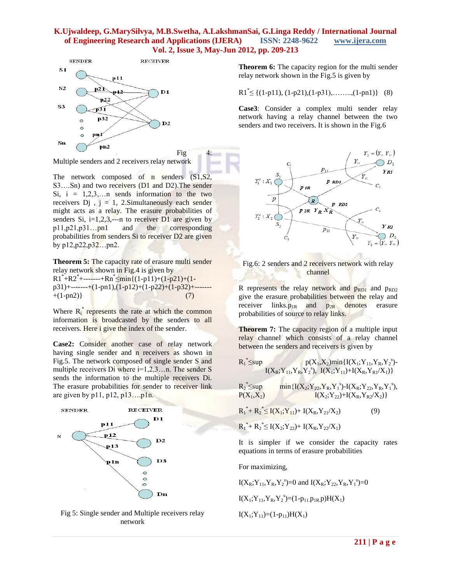

Multiple senders and 2 receivers relay network

The network composed of n senders (S1,S2, S3….Sn) and two receivers (D1 and D2).The sender Si,  $i = 1,2,3,...n$  sends information to the two receivers  $Dj$ ,  $j = 1$ , 2.Simultaneously each sender might acts as a relay. The erasure probabilities of senders Si,  $i=1,2,3,---n$  to receiver D1 are given by p11,p21,p31…pn1 and the corresponding probabilities from senders Si to receiver D2 are given by p12,p22,p32…pn2.

**Theorem 5:** The capacity rate of erasure multi sender relay network shown in Fig.4 is given by  $R1^*+R2^*+ \cdots +Rn^* \leq min\{(1-p11)+(1-p21)+(1-p21)\}$ p31)+-------+(1-pn1),(1-p12)+(1-p22)+(1-p32)+-------  $+(1-pn2)$ } (7)

Where  $R_i^*$  represents the rate at which the common information is broadcasted by the senders to all receivers. Here i give the index of the sender.

**Case2:** Consider another case of relay network having single sender and n receivers as shown in Fig.5. The network composed of single sender S and multiple receivers Di where i=1,2,3...n. The sender S sends the information to the multiple receivers Di. The erasure probabilities for sender to receiver link are given by p11, p12, p13….p1n.



Fig 5: Single sender and Multiple receivers relay network

**Theorem 6:** The capacity region for the multi sender relay network shown in the Fig.5 is given by

 $R1 \stackrel{*}{\leq} \{(1-p11), (1-p21), (1-p31), \ldots, (1-pn1)\}$  (8)

**Case3**: Consider a complex multi sender relay network having a relay channel between the two senders and two receivers. It is shown in the Fig.6





R represents the relay network and  $p_{RD1}$  and  $p_{RD2}$ give the erasure probabilities between the relay and receiver links. $p_{1R}$  and  $p_{2R}$  denotes erasure probabilities of source to relay links.

**Theorem 7:** The capacity region of a multiple input relay channel which consists of a relay channel between the senders and receivers is given by

$$
R_1 \negthinspace \stackrel{*}{\leq} \negthinspace sup \, \, \Pr(X_1, X_2) \negthinspace \min \{ I(X_1; Y_{11}, Y_R, Y_2^s) - I(X_R; Y_{11}, Y_R, Y_2^s) - I(X_R; Y_{11}) + I(X_R, Y_{R1}/X_1) \}
$$

 $\mathbf{R_2}^*$  $\leq$ sup min{I(X<sub>2</sub>; Y<sub>22</sub>, Y<sub>R</sub>, Y<sub>1</sub><sup>s</sup>)-I(X<sub>R</sub>; Y<sub>22</sub>, Y<sub>R</sub>, Y<sub>1</sub><sup>s</sup>),  $P(X_1, X_2)$   $I(X_2; Y_{22})+I(X_R, Y_{R2}/X_2)$ 

$$
R_1^* + R_2^* \le I(X_1; Y_{11}) + I(X_R, Y_{21}/X_2)
$$
\n(9)

$$
{R_1}^* + {R_2}^* \leq I(X_2;Y_{22}) + I(X_R,Y_{22}/X_1)
$$

It is simpler if we consider the capacity rates equations in terms of erasure probabilities

For maximizing,

 $I(X_R; Y_{11}, Y_R, Y_2^s) = 0$  and  $I(X_R; Y_{22}, Y_R, Y_1^s) = 0$  $I(X_1; Y_{11}, Y_R, Y_2^s) = (1-p_{11}p_{1R}p)H(X_1)$  $I(X_1; Y_{11}) = (1-p_{11})H(X_1)$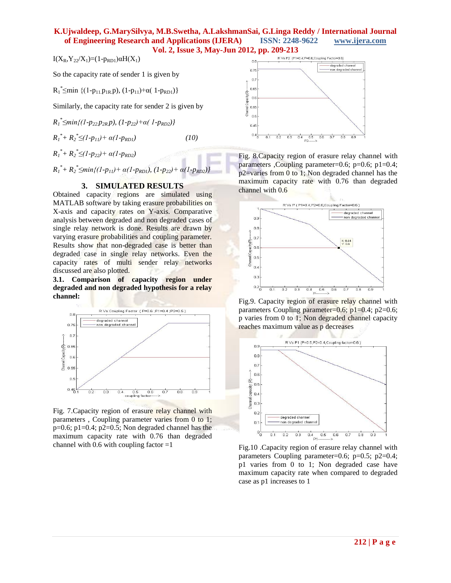I(X<sub>R</sub>, Y<sub>22</sub>/X<sub>1</sub>)=(1-p<sub>RD1</sub>)αH(X<sub>1</sub>)

So the capacity rate of sender 1 is given by

 $R_1$ <sup>\*</sup>  $\leq$ min {(1-p<sub>11.</sub>p<sub>1R.</sub>p), (1-p<sub>11</sub>)+ $\alpha$ (1-p<sub>RD1</sub>)}

Similarly, the capacity rate for sender 2 is given by

*R1 \* ≤min{(1-p22.p2R.p), (1-p22)+α( 1-pRD2)}*  $R_I^* + R_2^* \le (I - p_{II}) + \alpha (I - p_{RDI})$  *(10)* 

 $R_1^*$ +  $R_2^*$   $\leq$  (1- $p_{22}$ )+  $\alpha$  (1- $p_{RD2}$ )

*R*<sub>1</sub><sup>\*</sup>+ *R*<sub>2</sub><sup>\*</sup>  $\leq$ *min*{(1-*p*<sub>11</sub>)+ *α*(1-*p*<sub>*RD1</sub>), (1-p<sub>22</sub>)+ <i>α*(1-*p*<sub>*RD2</sub>)}*</sub></sub>

# **3. SIMULATED RESULTS**

Obtained capacity regions are simulated using MATLAB software by taking erasure probabilities on X-axis and capacity rates on Y-axis. Comparative analysis between degraded and non degraded cases of single relay network is done. Results are drawn by varying erasure probabilities and coupling parameter. Results show that non-degraded case is better than degraded case in single relay networks. Even the capacity rates of multi sender relay networks discussed are also plotted.

**3.1. Comparison of capacity region under degraded and non degraded hypothesis for a relay channel:**



Fig. 7.Capacity region of erasure relay channel with parameters , Coupling parameter varies from 0 to 1;  $p=0.6$ ;  $p1=0.4$ ;  $p2=0.5$ ; Non degraded channel has the maximum capacity rate with 0.76 than degraded channel with  $0.6$  with coupling factor  $=1$ 



Fig. 8.Capacity region of erasure relay channel with parameters ,Coupling parameter=0.6; p=0.6; p1=0.4; p2=varies from 0 to 1; Non degraded channel has the maximum capacity rate with 0.76 than degraded channel with 0.6



Fig.9. Capacity region of erasure relay channel with parameters Coupling parameter=0.6;  $p1=0.4$ ;  $p2=0.6$ ; p varies from 0 to 1; Non degraded channel capacity reaches maximum value as p decreases



Fig.10 .Capacity region of erasure relay channel with parameters Coupling parameter=0.6; p=0.5; p2=0.4; p1 varies from 0 to 1; Non degraded case have maximum capacity rate when compared to degraded case as p1 increases to 1